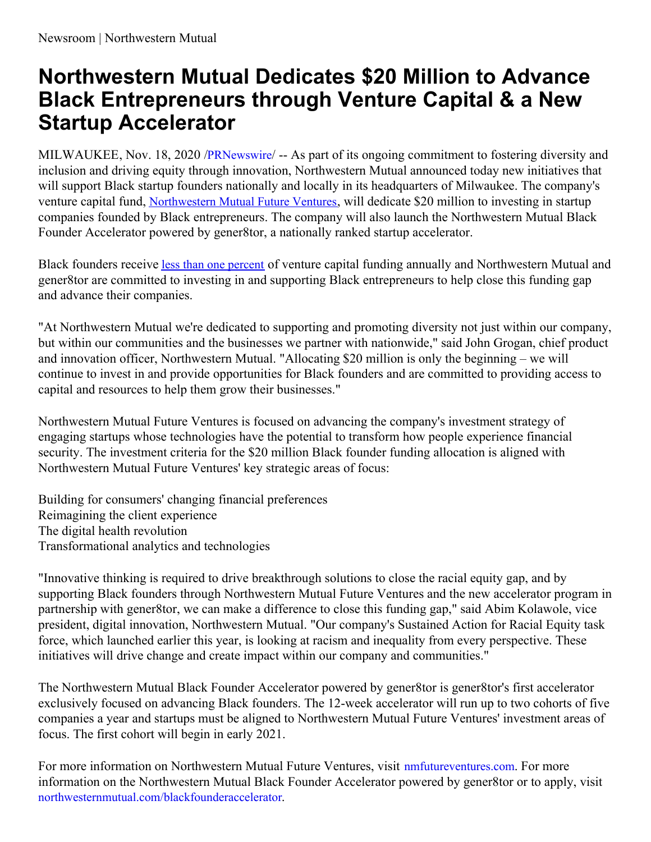## **Northwestern Mutual Dedicates \$20 Million to Advance Black Entrepreneurs through Venture Capital & a New Startup Accelerator**

MILWAUKEE, Nov. 18, 2020 /[PRNewswire](http://www.prnewswire.com/)/ -- As part of its ongoing commitment to fostering diversity and inclusion and driving equity through innovation, Northwestern Mutual announced today new initiatives that will support Black startup founders nationally and locally in its headquarters of Milwaukee. The company's venture capital fund, [Northwestern](https://c212.net/c/link/?t=0&l=en&o=2985875-1&h=475190329&u=http%3A%2F%2Fnmfutureventures.com%2F&a=Northwestern+Mutual+Future+Ventures) Mutual Future Ventures, will dedicate \$20 million to investing in startup companies founded by Black entrepreneurs. The company will also launch the Northwestern Mutual Black Founder Accelerator powered by gener8tor, a nationally ranked startup accelerator.

Black founders receive less than one [percent](https://c212.net/c/link/?t=0&l=en&o=2985875-1&h=173469048&u=https%3A%2F%2Fhbr.org%2F2020%2F06%2Fa-vcs-guide-to-investing-in-black-founders%23%3A%7E%3Atext%3DRight%2520now%252C%2520Black%2520founders%2520receive%2Crecognizing%2520and%2520developing%2520Black%2520entrepreneurs.&a=less+than+one+percent) of venture capital funding annually and Northwestern Mutual and gener8tor are committed to investing in and supporting Black entrepreneurs to help close this funding gap and advance their companies.

"At Northwestern Mutual we're dedicated to supporting and promoting diversity not just within our company, but within our communities and the businesses we partner with nationwide," said John Grogan, chief product and innovation officer, Northwestern Mutual. "Allocating \$20 million is only the beginning – we will continue to invest in and provide opportunities for Black founders and are committed to providing access to capital and resources to help them grow their businesses."

Northwestern Mutual Future Ventures is focused on advancing the company's investment strategy of engaging startups whose technologies have the potential to transform how people experience financial security. The investment criteria for the \$20 million Black founder funding allocation is aligned with Northwestern Mutual Future Ventures' key strategic areas of focus:

Building for consumers' changing financial preferences Reimagining the client experience The digital health revolution Transformational analytics and technologies

"Innovative thinking is required to drive breakthrough solutions to close the racial equity gap, and by supporting Black founders through Northwestern Mutual Future Ventures and the new accelerator program in partnership with gener8tor, we can make a difference to close this funding gap," said Abim Kolawole, vice president, digital innovation, Northwestern Mutual. "Our company's Sustained Action for Racial Equity task force, which launched earlier this year, is looking at racism and inequality from every perspective. These initiatives will drive change and create impact within our company and communities."

The Northwestern Mutual Black Founder Accelerator powered by gener8tor is gener8tor's first accelerator exclusively focused on advancing Black founders. The 12-week accelerator will run up to two cohorts of five companies a year and startups must be aligned to Northwestern Mutual Future Ventures' investment areas of focus. The first cohort will begin in early 2021.

For more information on Northwestern Mutual Future Ventures, visit [nmfutureventures.com](https://c212.net/c/link/?t=0&l=en&o=2985875-1&h=3973175078&u=https%3A%2F%2Finnovation.northwesternmutual.com%2Fventure-investments%2Ffuture-ventures%2F&a=nmfutureventures.com). For more information on the Northwestern Mutual Black Founder Accelerator powered by gener8tor or to apply, visit [northwesternmutual.com/blackfounderaccelerator](https://c212.net/c/link/?t=0&l=en&o=2985875-1&h=1917098848&u=https%3A%2F%2Fgener8torblackfounderaccelerator.com%2F&a=northwesternmutual.com%2Fblackfounderaccelerator).